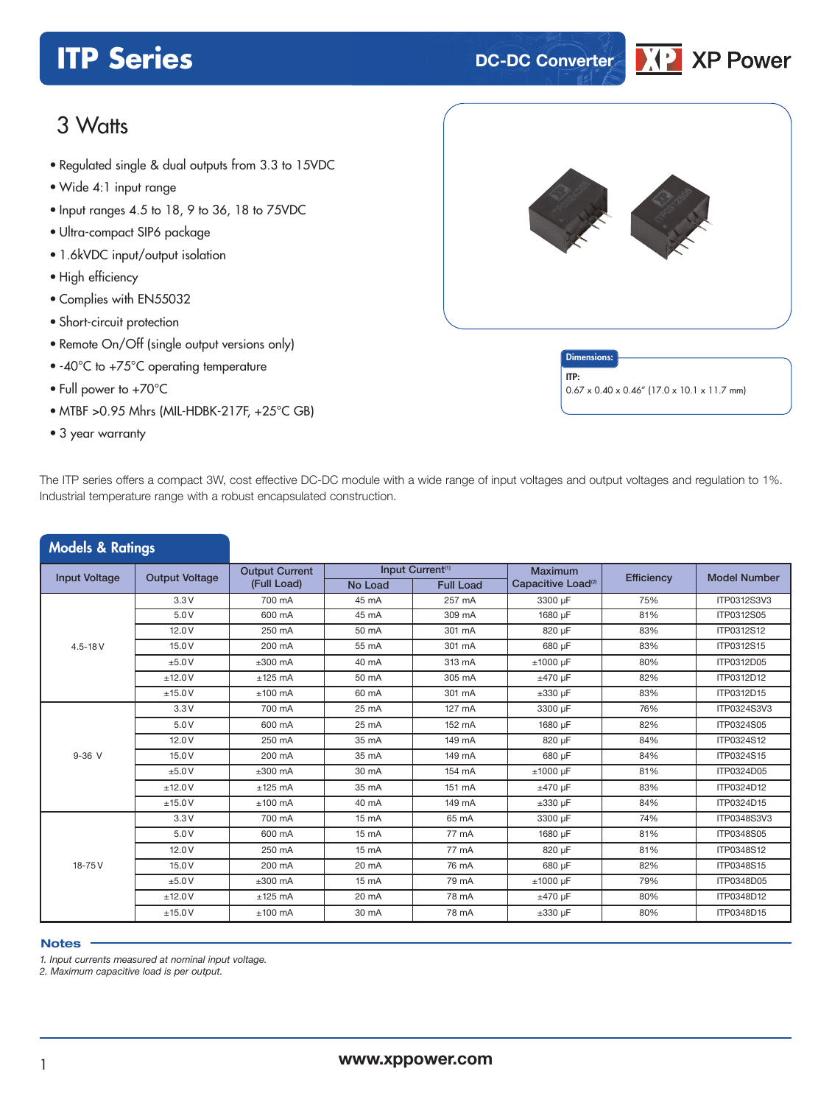# **ITP Series DC-DC Converter**



# 3 Watts

- **xxx Series** Regulated single & dual outputs from 3.3 to 15VDC
- Wide 4:1 input range
- Input ranges 4.5 to 18, 9 to 36, 18 to 75VDC
- Ultra-compact SIP6 package
- 1.6kVDC input/output isolation
- High efficiency
- Complies with EN55032
- Short-circuit protection
- Remote On/Off (single output versions only)
- -40°C to +75°C operating temperature
- Full power to +70°C
- MTBF >0.95 Mhrs (MIL-HDBK-217F, +25°C GB)
- 3 year warranty



The ITP series offers a compact 3W, cost effective DC-DC module with a wide range of input voltages and output voltages and regulation to 1%. Industrial temperature range with a robust encapsulated construction.

| <b>Models &amp; Ratings</b>                   |         |                       |                 |                              |                                |            |                     |
|-----------------------------------------------|---------|-----------------------|-----------------|------------------------------|--------------------------------|------------|---------------------|
| <b>Input Voltage</b><br><b>Output Voltage</b> |         | <b>Output Current</b> |                 | Input Current <sup>(1)</sup> | <b>Maximum</b>                 | Efficiency | <b>Model Number</b> |
|                                               |         | (Full Load)           | No Load         | <b>Full Load</b>             | Capacitive Load <sup>(2)</sup> |            |                     |
|                                               | 3.3V    | 700 mA                | 45 mA           | 257 mA                       | 3300 µF                        | 75%        | ITP0312S3V3         |
|                                               | 5.0V    | 600 mA                | 45 mA           | 309 mA                       | 1680 µF                        | 81%        | ITP0312S05          |
|                                               | 12.0V   | 250 mA                | 50 mA           | 301 mA                       | 820 µF                         | 83%        | ITP0312S12          |
| $4.5 - 18V$                                   | 15.0 V  | 200 mA                | 55 mA           | 301 mA                       | 680 µF                         | 83%        | ITP0312S15          |
|                                               | ±5.0V   | $±300$ mA             | 40 mA           | 313 mA                       | $±1000$ µF                     | 80%        | ITP0312D05          |
|                                               | ±12.0V  | $±125$ mA             | 50 mA           | 305 mA                       | $±470 \mu F$                   | 82%        | ITP0312D12          |
|                                               | ±15.0V  | $±100$ mA             | 60 mA           | 301 mA                       | $\pm 330$ µF                   | 83%        | ITP0312D15          |
|                                               | 3.3V    | 700 mA                | 25 mA           | 127 mA                       | 3300 µF                        | 76%        | ITP0324S3V3         |
| $9-36$ V                                      | 5.0V    | 600 mA                | 25 mA           | 152 mA                       | 1680 µF                        | 82%        | ITP0324S05          |
|                                               | 12.0V   | 250 mA                | 35 mA           | 149 mA                       | 820 µF                         | 84%        | ITP0324S12          |
|                                               | 15.0V   | 200 mA                | 35 mA           | 149 mA                       | 680 µF                         | 84%        | ITP0324S15          |
|                                               | $+5.0V$ | $±300$ mA             | 30 mA           | 154 mA                       | $±1000$ µF                     | 81%        | ITP0324D05          |
|                                               | ±12.0V  | $±125$ mA             | 35 mA           | 151 mA                       | $±470 \mu F$                   | 83%        | ITP0324D12          |
|                                               | ±15.0V  | $±100$ mA             | 40 mA           | 149 mA                       | $\pm 330$ µF                   | 84%        | ITP0324D15          |
|                                               | 3.3V    | 700 mA                | 15 mA           | 65 mA                        | 3300 µF                        | 74%        | ITP0348S3V3         |
|                                               | 5.0V    | 600 mA                | 15 mA           | 77 mA                        | 1680 µF                        | 81%        | ITP0348S05          |
|                                               | 12.0V   | 250 mA                | $15 \text{ mA}$ | 77 mA                        | 820 µF                         | 81%        | ITP0348S12          |
| 18-75V                                        | 15.0 V  | 200 mA                | 20 mA           | 76 mA                        | 680 µF                         | 82%        | ITP0348S15          |
|                                               | ±5.0V   | $±300$ mA             | 15 mA           | 79 mA                        | $±1000$ µF                     | 79%        | ITP0348D05          |
|                                               | ±12.0V  | $±125$ mA             | 20 mA           | 78 mA                        | $±470 \mu F$                   | 80%        | ITP0348D12          |
|                                               | ±15.0V  | $±100$ mA             | 30 mA           | 78 mA                        | $\pm 330$ µF                   | 80%        | ITP0348D15          |

#### **Notes**

*1. Input currents measured at nominal input voltage.*

*2. Maximum capacitive load is per output.*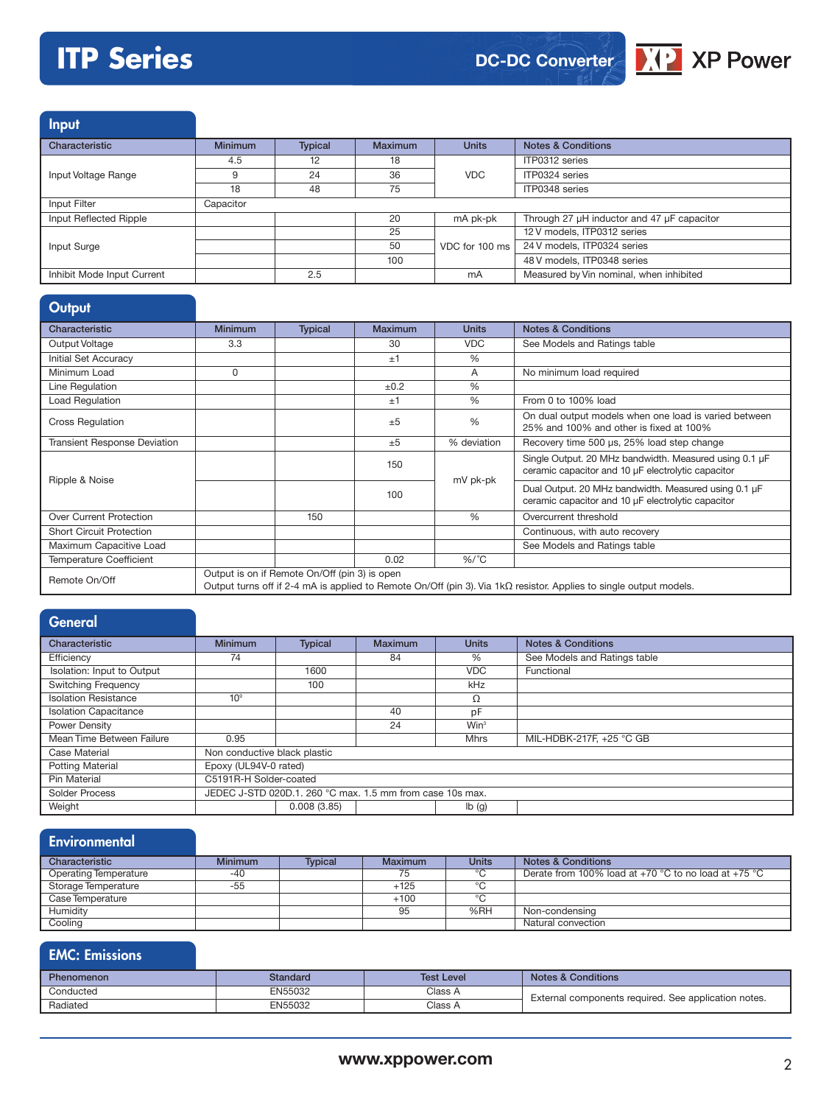# **ITP Series**



Input

| Characteristic             | <b>Minimum</b> | <b>Typical</b> | <b>Maximum</b> | <b>Units</b>   | <b>Notes &amp; Conditions</b>              |
|----------------------------|----------------|----------------|----------------|----------------|--------------------------------------------|
|                            | 4.5            | 12             | 18             |                | ITP0312 series                             |
| Input Voltage Range        |                | 24             | 36             | <b>VDC</b>     | ITP0324 series                             |
|                            | 18             | 48             | 75             |                | ITP0348 series                             |
| Input Filter               | Capacitor      |                |                |                |                                            |
| Input Reflected Ripple     |                |                | 20             | mA pk-pk       | Through 27 µH inductor and 47 µF capacitor |
|                            |                |                | 25             |                | 12 V models, ITP0312 series                |
| Input Surge                |                |                | 50             | VDC for 100 ms | 24 V models, ITP0324 series                |
|                            |                |                | 100            |                | 48 V models, ITP0348 series                |
| Inhibit Mode Input Current |                | 2.5            |                | mA             | Measured by Vin nominal, when inhibited    |

| Output                              |                |                                               |                |               |                                                                                                                           |
|-------------------------------------|----------------|-----------------------------------------------|----------------|---------------|---------------------------------------------------------------------------------------------------------------------------|
| Characteristic                      | <b>Minimum</b> | <b>Typical</b>                                | <b>Maximum</b> | <b>Units</b>  | <b>Notes &amp; Conditions</b>                                                                                             |
| Output Voltage                      | 3.3            |                                               | 30             | <b>VDC</b>    | See Models and Ratings table                                                                                              |
| Initial Set Accuracy                |                |                                               | ±1             | $\frac{0}{0}$ |                                                                                                                           |
| Minimum Load                        | 0              |                                               |                | A             | No minimum load required                                                                                                  |
| Line Regulation                     |                |                                               | ±0.2           | $\frac{0}{0}$ |                                                                                                                           |
| Load Regulation                     |                |                                               | ±1             | $\%$          | From 0 to 100% load                                                                                                       |
| <b>Cross Regulation</b>             |                |                                               | ±5             | $\frac{0}{0}$ | On dual output models when one load is varied between<br>25% and 100% and other is fixed at 100%                          |
| <b>Transient Response Deviation</b> |                |                                               | ±5             | % deviation   | Recovery time 500 µs, 25% load step change                                                                                |
| Ripple & Noise                      |                |                                               | 150            | mV pk-pk      | Single Output. 20 MHz bandwidth. Measured using 0.1 µF<br>ceramic capacitor and 10 µF electrolytic capacitor              |
|                                     |                |                                               | 100            |               | Dual Output. 20 MHz bandwidth. Measured using 0.1 µF<br>ceramic capacitor and 10 µF electrolytic capacitor                |
| Over Current Protection             |                | 150                                           |                | $\frac{0}{0}$ | Overcurrent threshold                                                                                                     |
| <b>Short Circuit Protection</b>     |                |                                               |                |               | Continuous, with auto recovery                                                                                            |
| Maximum Capacitive Load             |                |                                               |                |               | See Models and Ratings table                                                                                              |
| <b>Temperature Coefficient</b>      |                |                                               | 0.02           | $%$ /°C       |                                                                                                                           |
| Remote On/Off                       |                | Output is on if Remote On/Off (pin 3) is open |                |               | Output turns off if 2-4 mA is applied to Remote On/Off (pin 3). Via $1k\Omega$ resistor. Applies to single output models. |

| <b>General</b>               |                                                           |                |                |                  |                               |  |  |
|------------------------------|-----------------------------------------------------------|----------------|----------------|------------------|-------------------------------|--|--|
| Characteristic               | <b>Minimum</b>                                            | <b>Typical</b> | <b>Maximum</b> | <b>Units</b>     | <b>Notes &amp; Conditions</b> |  |  |
| Efficiency                   | 74                                                        |                | 84             | $\frac{0}{0}$    | See Models and Ratings table  |  |  |
| Isolation: Input to Output   |                                                           | 1600           |                | <b>VDC</b>       | Functional                    |  |  |
| <b>Switching Frequency</b>   |                                                           | 100            |                | <b>kHz</b>       |                               |  |  |
| <b>Isolation Resistance</b>  | 10 <sup>9</sup>                                           |                |                | Ω                |                               |  |  |
| <b>Isolation Capacitance</b> |                                                           |                | 40             | pF               |                               |  |  |
| Power Density                |                                                           |                | 24             | Win <sup>3</sup> |                               |  |  |
| Mean Time Between Failure    | 0.95                                                      |                |                | <b>Mhrs</b>      | MIL-HDBK-217F, +25 °C GB      |  |  |
| <b>Case Material</b>         | Non conductive black plastic                              |                |                |                  |                               |  |  |
| <b>Potting Material</b>      | Epoxy (UL94V-0 rated)                                     |                |                |                  |                               |  |  |
| Pin Material                 | C5191R-H Solder-coated                                    |                |                |                  |                               |  |  |
| <b>Solder Process</b>        | JEDEC J-STD 020D.1, 260 °C max, 1.5 mm from case 10s max. |                |                |                  |                               |  |  |
| Weight                       |                                                           | 0.008(3.85)    |                | lb(g)            |                               |  |  |

# **Environmental**

| Characteristic        | <b>Minimum</b> | Tvpical | Maximum | <b>Units</b> | <b>Notes &amp; Conditions</b>                        |
|-----------------------|----------------|---------|---------|--------------|------------------------------------------------------|
| Operating Temperature | -40            |         | 75      | $\circ$      | Derate from 100% load at +70 °C to no load at +75 °C |
| Storage Temperature   | -55            |         | $+125$  | $\circ$      |                                                      |
| Case Temperature      |                |         | $+100$  | $\sim$       |                                                      |
| Humidity              |                |         | 95      | %RH          | Non-condensing                                       |
| Cooling               |                |         |         |              | Natural convection                                   |

# EMC: Emissions

| <b>Phenomenon</b> | Standard | <b>Test Level</b> | <b>Notes &amp; Conditions</b>                        |
|-------------------|----------|-------------------|------------------------------------------------------|
| Conducted         | EN55032  | Class A           | External components required. See application notes. |
| Radiated          | EN55032  | Class A           |                                                      |